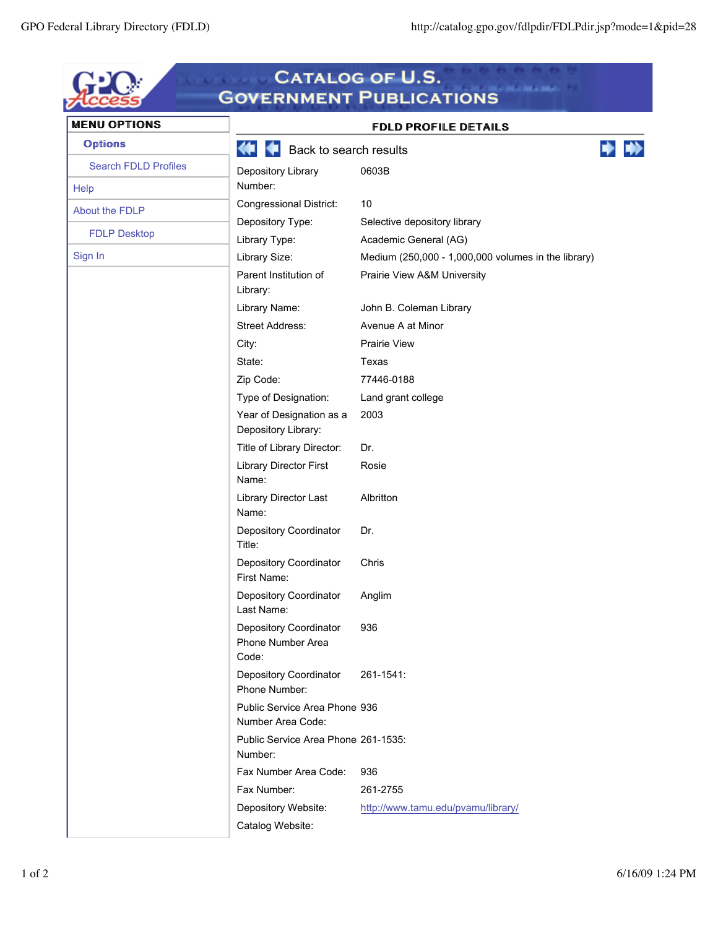| <b>MENU OPTIONS</b>         |                                                      | <b>FDLD PROFILE DETAILS</b>                         |  |
|-----------------------------|------------------------------------------------------|-----------------------------------------------------|--|
| <b>Options</b>              | Back to search results<br>Œ                          |                                                     |  |
| <b>Search FDLD Profiles</b> | Depository Library                                   | 0603B                                               |  |
| Help                        | Number:                                              |                                                     |  |
| About the FDLP              | <b>Congressional District:</b>                       | 10                                                  |  |
| <b>FDLP Desktop</b>         | Depository Type:                                     | Selective depository library                        |  |
|                             | Library Type:                                        | Academic General (AG)                               |  |
| Sign In                     | Library Size:                                        | Medium (250,000 - 1,000,000 volumes in the library) |  |
|                             | Parent Institution of<br>Library:                    | Prairie View A&M University                         |  |
|                             | Library Name:                                        | John B. Coleman Library                             |  |
|                             | <b>Street Address:</b>                               | Avenue A at Minor                                   |  |
|                             | City:                                                | <b>Prairie View</b>                                 |  |
|                             | State:                                               | Texas                                               |  |
|                             | Zip Code:                                            | 77446-0188                                          |  |
|                             | Type of Designation:                                 | Land grant college                                  |  |
|                             | Year of Designation as a<br>Depository Library:      | 2003                                                |  |
|                             | Title of Library Director:                           | Dr.                                                 |  |
|                             | <b>Library Director First</b><br>Name:               | Rosie                                               |  |
|                             | Library Director Last<br>Name:                       | Albritton                                           |  |
|                             | Depository Coordinator<br>Title:                     | Dr.                                                 |  |
|                             | Depository Coordinator<br>First Name:                | Chris                                               |  |
|                             | Depository Coordinator<br>Last Name:                 | Anglim                                              |  |
|                             | Depository Coordinator<br>Phone Number Area<br>Code: | 936                                                 |  |
|                             | Depository Coordinator<br>Phone Number:              | 261-1541:                                           |  |
|                             | Public Service Area Phone 936<br>Number Area Code:   |                                                     |  |
|                             | Public Service Area Phone 261-1535:<br>Number:       |                                                     |  |
|                             | Fax Number Area Code:                                | 936                                                 |  |
|                             | Fax Number:                                          | 261-2755                                            |  |
|                             | Depository Website:                                  | http://www.tamu.edu/pvamu/library/                  |  |